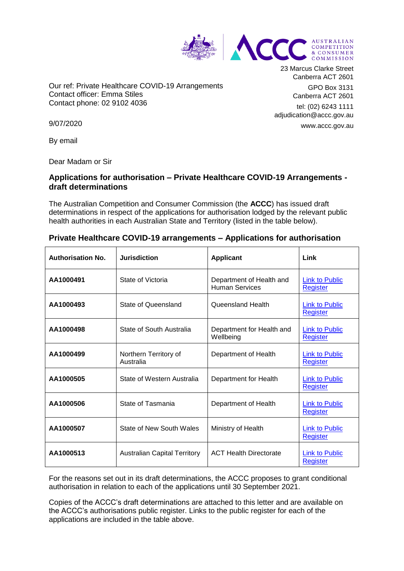

Our ref: Private Healthcare COVID-19 Arrangements Contact officer: Emma Stiles Contact phone: 02 9102 4036

23 Marcus Clarke Street Canberra ACT 2601

> GPO Box 3131 Canberra ACT 2601

tel: (02) 6243 1111 adjudication@accc.gov.au www.accc.gov.au

9/07/2020

By email

Dear Madam or Sir

# **Applications for authorisation – Private Healthcare COVID-19 Arrangements draft determinations**

The Australian Competition and Consumer Commission (the **ACCC**) has issued draft determinations in respect of the applications for authorisation lodged by the relevant public health authorities in each Australian State and Territory (listed in the table below).

| <b>Authorisation No.</b> | <b>Jurisdiction</b>                 | <b>Applicant</b>                                  | Link                                     |
|--------------------------|-------------------------------------|---------------------------------------------------|------------------------------------------|
| AA1000491                | State of Victoria                   | Department of Health and<br><b>Human Services</b> | <b>Link to Public</b><br>Register        |
| AA1000493                | State of Queensland                 | Queensland Health                                 | <b>Link to Public</b><br><b>Register</b> |
| AA1000498                | State of South Australia            | Department for Health and<br>Wellbeing            | <b>Link to Public</b><br><b>Register</b> |
| AA1000499                | Northern Territory of<br>Australia  | Department of Health                              | <b>Link to Public</b><br><b>Register</b> |
| AA1000505                | State of Western Australia          | Department for Health                             | <b>Link to Public</b><br><b>Register</b> |
| AA1000506                | State of Tasmania                   | Department of Health                              | <b>Link to Public</b><br><b>Register</b> |
| AA1000507                | State of New South Wales            | Ministry of Health                                | <b>Link to Public</b><br><b>Register</b> |
| AA1000513                | <b>Australian Capital Territory</b> | <b>ACT Health Directorate</b>                     | <b>Link to Public</b><br><b>Register</b> |

## **Private Healthcare COVID-19 arrangements – Applications for authorisation**

For the reasons set out in its draft determinations, the ACCC proposes to grant conditional authorisation in relation to each of the applications until 30 September 2021.

Copies of the ACCC's draft determinations are attached to this letter and are available on the ACCC's authorisations public register. Links to the public register for each of the applications are included in the table above.